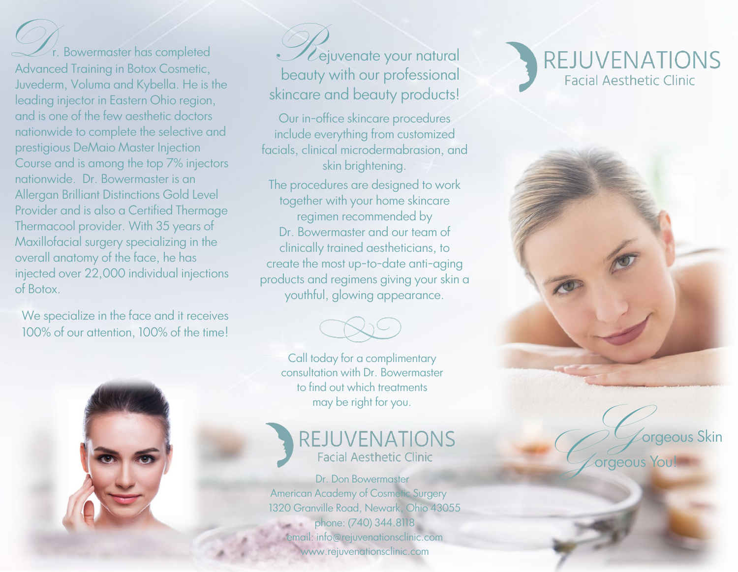$\mathcal{L}$ r. Bowermaster has completed Advanced Training in Botox Cosmetic, Juvederm, Voluma and Kybella. He is the leading injector in Eastern Ohio region, and is one of the few aesthetic doctors nationwide to complete the selective and prestigious DeMaio Master Injection Course and is among the top 7% injectors nationwide. Dr. Bowermaster is an Allergan Brilliant Distinctions Gold Level Provider and is also a Certified Thermage Thermacool provider. With 35 years of Maxillofacial surgery specializing in the overall anatomy of the face, he has injected over 22,000 individual injections of Botox.

We specialize in the face and it receives 100% of our attention, 100% of the time!



*D* Lejuvenate your natural beauty with our professional skincare and beauty products!

Our in-office skincare procedures include everything from customized facials, clinical microdermabrasion, and skin brightening.

The procedures are designed to work together with your home skincare regimen recommended by Dr. Bowermaster and our team of clinically trained aestheticians, to create the most up-to-date anti-aging products and regimens giving your skin a youthful, glowing appearance.



Call today for a complimentary consultation with Dr. Bowermaster to find out which treatments may be right for you.

### REJUVENATIONS **Facial Aesthetic Clinic**

 Dr. Don Bowermaster American Academy of Cosmetic Surgery 1320 Granville Road, Newark, Ohio 43055 phone: (740) 344.8118 email: info@rejuvenationsclinic.com www.rejuvenationsclinic.com





Gegeous Skin<br>Gegeous You!

orgeous You!